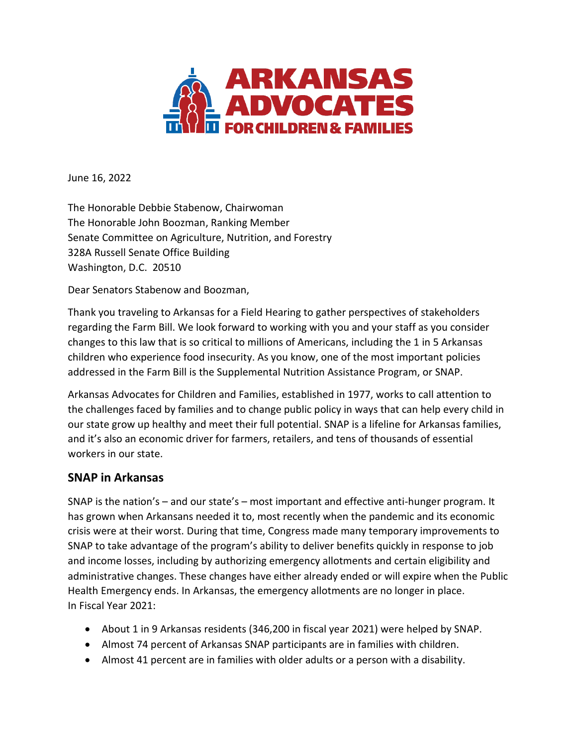

June 16, 2022

The Honorable Debbie Stabenow, Chairwoman The Honorable John Boozman, Ranking Member Senate Committee on Agriculture, Nutrition, and Forestry 328A Russell Senate Office Building Washington, D.C. 20510

Dear Senators Stabenow and Boozman,

Thank you traveling to Arkansas for a Field Hearing to gather perspectives of stakeholders regarding the Farm Bill. We look forward to working with you and your staff as you consider changes to this law that is so critical to millions of Americans, including the 1 in 5 Arkansas children who experience food insecurity. As you know, one of the most important policies addressed in the Farm Bill is the Supplemental Nutrition Assistance Program, or SNAP.

Arkansas Advocates for Children and Families, established in 1977, works to call attention to the challenges faced by families and to change public policy in ways that can help every child in our state grow up healthy and meet their full potential. SNAP is a lifeline for Arkansas families, and it's also an economic driver for farmers, retailers, and tens of thousands of essential workers in our state.

### **SNAP in Arkansas**

SNAP is the nation's – and our state's – most important and effective anti-hunger program. It has grown when Arkansans needed it to, most recently when the pandemic and its economic crisis were at their worst. During that time, Congress made many temporary improvements to SNAP to take advantage of the program's ability to deliver benefits quickly in response to job and income losses, including by authorizing emergency allotments and certain eligibility and administrative changes. These changes have either already ended or will expire when the Public Health Emergency ends. In Arkansas, the emergency allotments are no longer in place. In Fiscal Year 2021:

- About 1 in 9 Arkansas residents (346,200 in fiscal year 2021) were helped by SNAP.
- Almost 74 percent of Arkansas SNAP participants are in families with children.
- Almost 41 percent are in families with older adults or a person with a disability.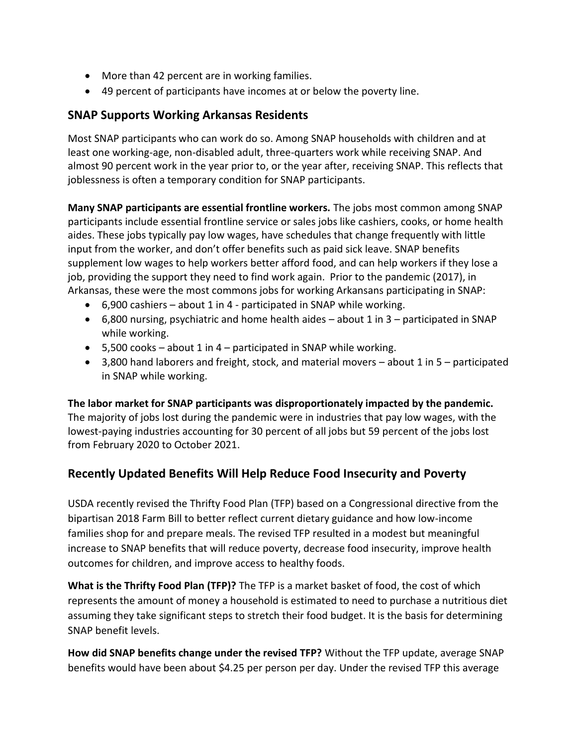- More than 42 percent are in working families.
- 49 percent of participants have incomes at or below the poverty line.

## **SNAP Supports Working Arkansas Residents**

Most SNAP participants who can work do so. Among SNAP households with children and at least one working-age, non-disabled adult, three-quarters work while receiving SNAP. And almost 90 percent work in the year prior to, or the year after, receiving SNAP. This reflects that joblessness is often a temporary condition for SNAP participants.

**Many SNAP participants are essential frontline workers.** The jobs most common among SNAP participants include essential frontline service or sales jobs like cashiers, cooks, or home health aides. These jobs typically pay low wages, have schedules that change frequently with little input from the worker, and don't offer benefits such as paid sick leave. SNAP benefits supplement low wages to help workers better afford food, and can help workers if they lose a job, providing the support they need to find work again. Prior to the pandemic (2017), in Arkansas, these were the most commons jobs for working Arkansans participating in SNAP:

- 6,900 cashiers about 1 in 4 participated in SNAP while working.
- 6,800 nursing, psychiatric and home health aides about 1 in 3 participated in SNAP while working.
- 5,500 cooks about 1 in 4 participated in SNAP while working.
- 3,800 hand laborers and freight, stock, and material movers about 1 in 5 participated in SNAP while working.

**The labor market for SNAP participants was disproportionately impacted by the pandemic.**  The majority of jobs lost during the pandemic were in industries that pay low wages, with the lowest-paying industries accounting for 30 percent of all jobs but 59 percent of the jobs lost from February 2020 to October 2021.

# **Recently Updated Benefits Will Help Reduce Food Insecurity and Poverty**

USDA recently revised the Thrifty Food Plan (TFP) based on a Congressional directive from the bipartisan 2018 Farm Bill to better reflect current dietary guidance and how low-income families shop for and prepare meals. The revised TFP resulted in a modest but meaningful increase to SNAP benefits that will reduce poverty, decrease food insecurity, improve health outcomes for children, and improve access to healthy foods.

**What is the Thrifty Food Plan (TFP)?** The TFP is a market basket of food, the cost of which represents the amount of money a household is estimated to need to purchase a nutritious diet assuming they take significant steps to stretch their food budget. It is the basis for determining SNAP benefit levels.

**How did SNAP benefits change under the revised TFP?** Without the TFP update, average SNAP benefits would have been about \$4.25 per person per day. Under the revised TFP this average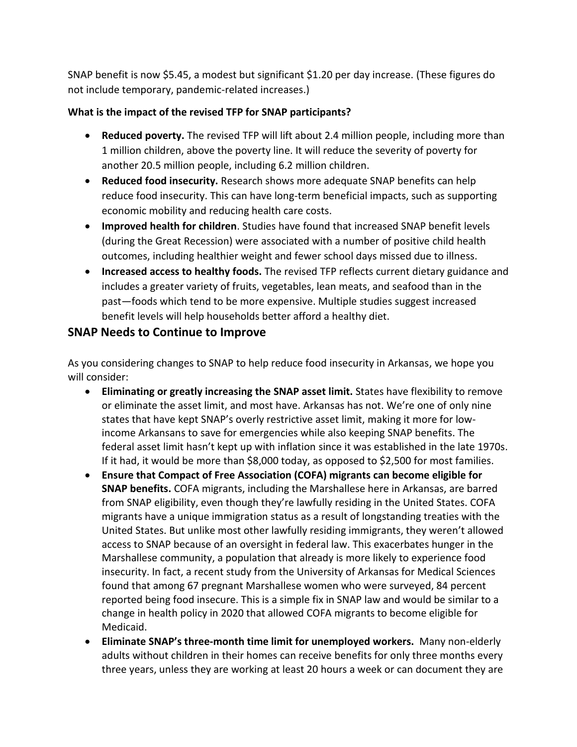SNAP benefit is now \$5.45, a modest but significant \$1.20 per day increase. (These figures do not include temporary, pandemic-related increases.)

#### **What is the impact of the revised TFP for SNAP participants?**

- **Reduced poverty.** The revised TFP will lift about 2.4 million people, including more than 1 million children, above the poverty line. It will reduce the severity of poverty for another 20.5 million people, including 6.2 million children.
- **Reduced food insecurity.** Research shows more adequate SNAP benefits can help reduce food insecurity. This can have long-term beneficial impacts, such as supporting economic mobility and reducing health care costs.
- **Improved health for children**. Studies have found that increased SNAP benefit levels (during the Great Recession) were associated with a number of positive child health outcomes, including healthier weight and fewer school days missed due to illness.
- **Increased access to healthy foods.** The revised TFP reflects current dietary guidance and includes a greater variety of fruits, vegetables, lean meats, and seafood than in the past—foods which tend to be more expensive. Multiple studies suggest increased benefit levels will help households better afford a healthy diet.

## **SNAP Needs to Continue to Improve**

As you considering changes to SNAP to help reduce food insecurity in Arkansas, we hope you will consider:

- **Eliminating or greatly increasing the SNAP asset limit.** States have flexibility to remove or eliminate the asset limit, and most have. Arkansas has not. We're one of only nine states that have kept SNAP's overly restrictive asset limit, making it more for lowincome Arkansans to save for emergencies while also keeping SNAP benefits. The federal asset limit hasn't kept up with inflation since it was established in the late 1970s. If it had, it would be more than \$8,000 today, as opposed to \$2,500 for most families.
- **Ensure that Compact of Free Association (COFA) migrants can become eligible for SNAP benefits.** COFA migrants, including the Marshallese here in Arkansas, are barred from SNAP eligibility, even though they're lawfully residing in the United States. COFA migrants have a unique immigration status as a result of longstanding treaties with the United States. But unlike most other lawfully residing immigrants, they weren't allowed access to SNAP because of an oversight in federal law. This exacerbates hunger in the Marshallese community, a population that already is more likely to experience food insecurity. In fact, a recent study from the University of Arkansas for Medical Sciences found that among 67 pregnant Marshallese women who were surveyed, 84 percent reported being food insecure. This is a simple fix in SNAP law and would be similar to a change in health policy in 2020 that allowed COFA migrants to become eligible for Medicaid.
- **Eliminate SNAP's three-month time limit for unemployed workers.** Many non-elderly adults without children in their homes can receive benefits for only three months every three years, unless they are working at least 20 hours a week or can document they are